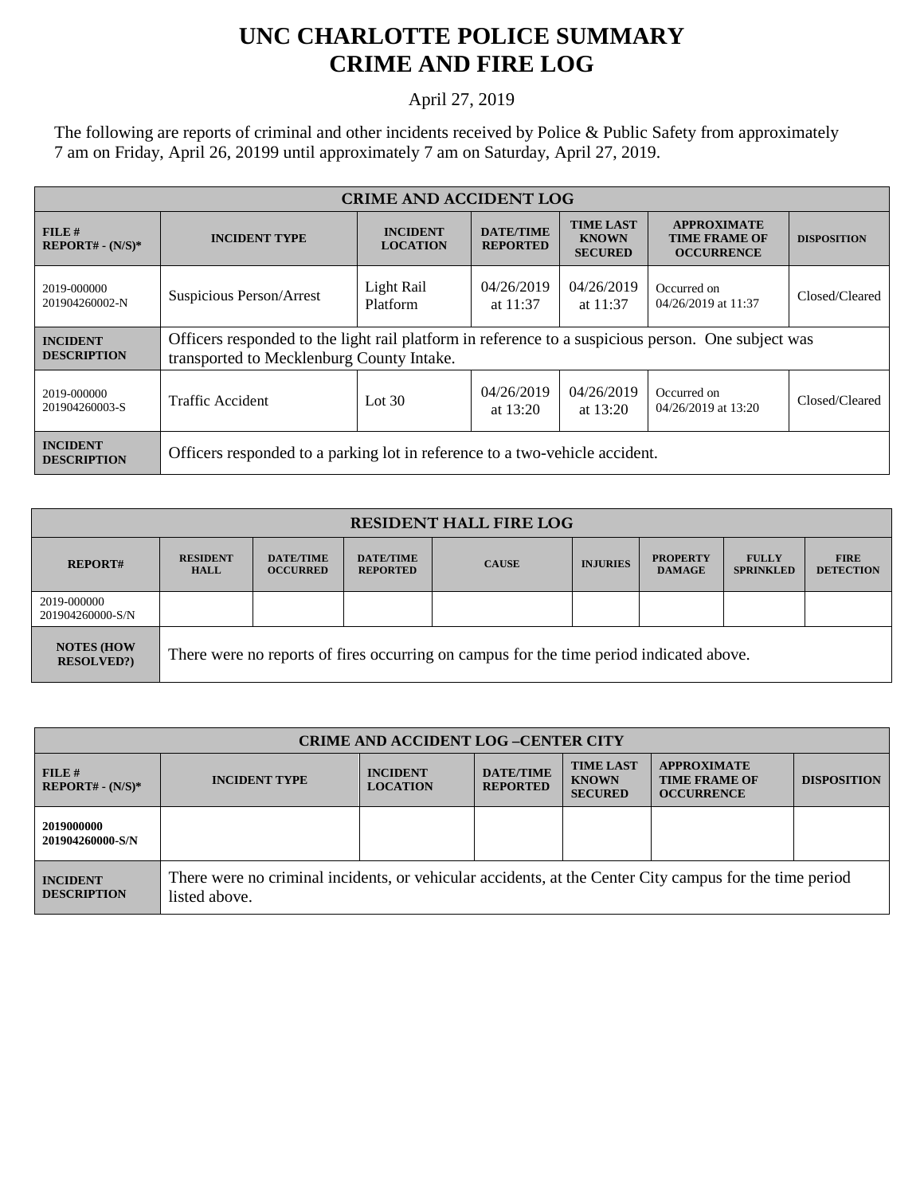## **UNC CHARLOTTE POLICE SUMMARY CRIME AND FIRE LOG**

## April 27, 2019

The following are reports of criminal and other incidents received by Police & Public Safety from approximately 7 am on Friday, April 26, 20199 until approximately 7 am on Saturday, April 27, 2019.

| <b>CRIME AND ACCIDENT LOG</b>         |                                                                                                                                                 |                                    |                                     |                                                    |                                                                 |                    |  |
|---------------------------------------|-------------------------------------------------------------------------------------------------------------------------------------------------|------------------------------------|-------------------------------------|----------------------------------------------------|-----------------------------------------------------------------|--------------------|--|
| $FILE$ #<br>$REPORT# - (N/S)*$        | <b>INCIDENT TYPE</b>                                                                                                                            | <b>INCIDENT</b><br><b>LOCATION</b> | <b>DATE/TIME</b><br><b>REPORTED</b> | <b>TIME LAST</b><br><b>KNOWN</b><br><b>SECURED</b> | <b>APPROXIMATE</b><br><b>TIME FRAME OF</b><br><b>OCCURRENCE</b> | <b>DISPOSITION</b> |  |
| 2019-000000<br>201904260002-N         | Suspicious Person/Arrest                                                                                                                        | Light Rail<br>Platform             | 04/26/2019<br>at $11:37$            | 04/26/2019<br>at $11:37$                           | Occurred on<br>04/26/2019 at 11:37                              | Closed/Cleared     |  |
| <b>INCIDENT</b><br><b>DESCRIPTION</b> | Officers responded to the light rail platform in reference to a suspicious person. One subject was<br>transported to Mecklenburg County Intake. |                                    |                                     |                                                    |                                                                 |                    |  |
| 2019-000000<br>201904260003-S         | <b>Traffic Accident</b>                                                                                                                         | Lot $30$                           | 04/26/2019<br>at $13:20$            | 04/26/2019<br>at $13:20$                           | Occurred on<br>04/26/2019 at 13:20                              | Closed/Cleared     |  |
| <b>INCIDENT</b><br><b>DESCRIPTION</b> | Officers responded to a parking lot in reference to a two-vehicle accident.                                                                     |                                    |                                     |                                                    |                                                                 |                    |  |

| <b>RESIDENT HALL FIRE LOG</b>           |                                                                                         |                                     |                                     |              |                 |                                  |                                  |                                 |
|-----------------------------------------|-----------------------------------------------------------------------------------------|-------------------------------------|-------------------------------------|--------------|-----------------|----------------------------------|----------------------------------|---------------------------------|
| <b>REPORT#</b>                          | <b>RESIDENT</b><br><b>HALL</b>                                                          | <b>DATE/TIME</b><br><b>OCCURRED</b> | <b>DATE/TIME</b><br><b>REPORTED</b> | <b>CAUSE</b> | <b>INJURIES</b> | <b>PROPERTY</b><br><b>DAMAGE</b> | <b>FULLY</b><br><b>SPRINKLED</b> | <b>FIRE</b><br><b>DETECTION</b> |
| 2019-000000<br>201904260000-S/N         |                                                                                         |                                     |                                     |              |                 |                                  |                                  |                                 |
| <b>NOTES (HOW)</b><br><b>RESOLVED?)</b> | There were no reports of fires occurring on campus for the time period indicated above. |                                     |                                     |              |                 |                                  |                                  |                                 |

| <b>CRIME AND ACCIDENT LOG-CENTER CITY</b> |                                                                                                                          |                                    |                                     |                                                    |                                                                 |                    |
|-------------------------------------------|--------------------------------------------------------------------------------------------------------------------------|------------------------------------|-------------------------------------|----------------------------------------------------|-----------------------------------------------------------------|--------------------|
| FILE#<br>$REPORT# - (N/S)*$               | <b>INCIDENT TYPE</b>                                                                                                     | <b>INCIDENT</b><br><b>LOCATION</b> | <b>DATE/TIME</b><br><b>REPORTED</b> | <b>TIME LAST</b><br><b>KNOWN</b><br><b>SECURED</b> | <b>APPROXIMATE</b><br><b>TIME FRAME OF</b><br><b>OCCURRENCE</b> | <b>DISPOSITION</b> |
| 2019000000<br>201904260000-S/N            |                                                                                                                          |                                    |                                     |                                                    |                                                                 |                    |
| <b>INCIDENT</b><br><b>DESCRIPTION</b>     | There were no criminal incidents, or vehicular accidents, at the Center City campus for the time period<br>listed above. |                                    |                                     |                                                    |                                                                 |                    |